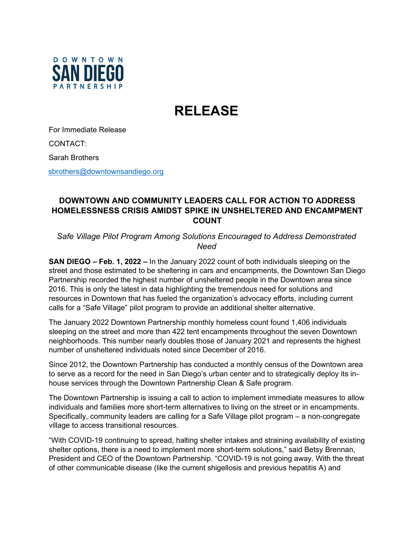

## **RELEASE**

For Immediate Release

CONTACT:

Sarah Brothers

[sbrothers@downtownsandiego.org](mailto:sbrothers@downtownsandiego.org)

## **DOWNTOWN AND COMMUNITY LEADERS CALL FOR ACTION TO ADDRESS HOMELESSNESS CRISIS AMIDST SPIKE IN UNSHELTERED AND ENCAMPMENT COUNT**

*Safe Village Pilot Program Among Solutions Encouraged to Address Demonstrated Need* 

**SAN DIEGO – Feb. 1, 2022 –** In the January 2022 count of both individuals sleeping on the street and those estimated to be sheltering in cars and encampments, the Downtown San Diego Partnership recorded the highest number of unsheltered people in the Downtown area since 2016. This is only the latest in data highlighting the tremendous need for solutions and resources in Downtown that has fueled the organization's advocacy efforts, including current calls for a "Safe Village" pilot program to provide an additional shelter alternative.

The January 2022 Downtown Partnership monthly homeless count found 1,406 individuals sleeping on the street and more than 422 tent encampments throughout the seven Downtown neighborhoods. This number nearly doubles those of January 2021 and represents the highest number of unsheltered individuals noted since December of 2016.

Since 2012, the Downtown Partnership has conducted a monthly census of the Downtown area to serve as a record for the need in San Diego's urban center and to strategically deploy its inhouse services through the Downtown Partnership Clean & Safe program.

The Downtown Partnership is issuing a call to action to implement immediate measures to allow individuals and families more short-term alternatives to living on the street or in encampments. Specifically, community leaders are calling for a Safe Village pilot program – a non-congregate village to access transitional resources.

"With COVID-19 continuing to spread, halting shelter intakes and straining availability of existing shelter options, there is a need to implement more short-term solutions," said Betsy Brennan, President and CEO of the Downtown Partnership. "COVID-19 is not going away. With the threat of other communicable disease (like the current shigellosis and previous hepatitis A) and